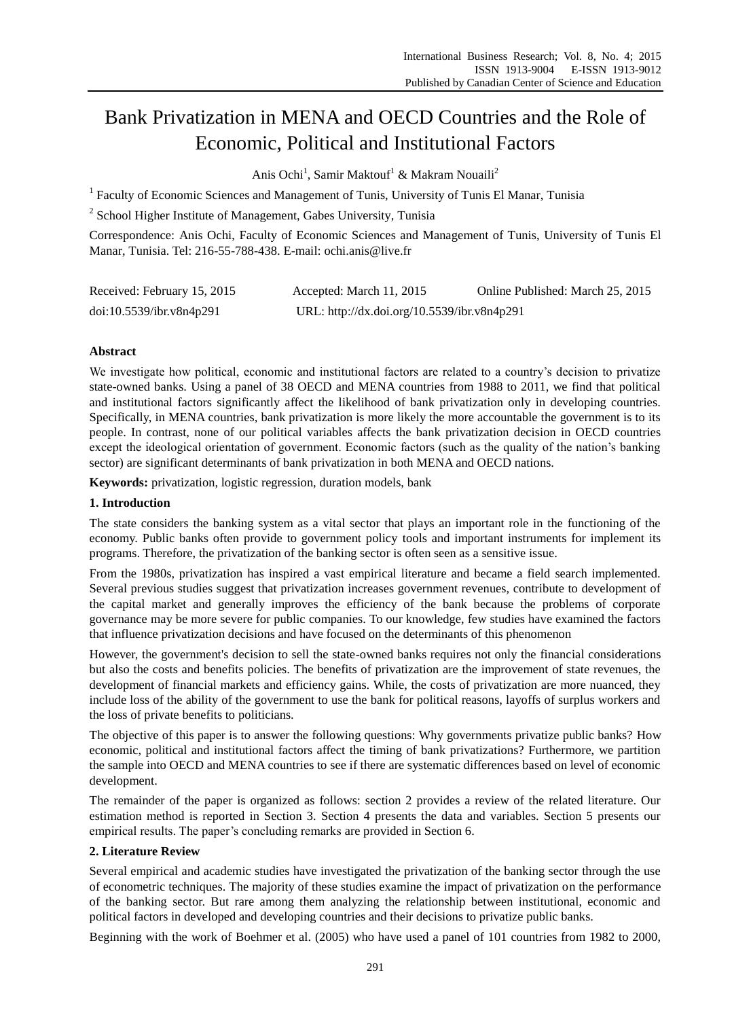# Bank Privatization in MENA and OECD Countries and the Role of Economic, Political and Institutional Factors

Anis Ochi<sup>1</sup>, Samir Maktouf<sup>1</sup> & Makram Nouaili<sup>2</sup>

<sup>1</sup> Faculty of Economic Sciences and Management of Tunis, University of Tunis El Manar, Tunisia

<sup>2</sup> School Higher Institute of Management, Gabes University, Tunisia

Correspondence: Anis Ochi, Faculty of Economic Sciences and Management of Tunis, University of Tunis El Manar, Tunisia. Tel: 216-55-788-438. E-mail: ochi.anis@live.fr

| Received: February 15, 2015 | Accepted: March 11, 2015                    | Online Published: March 25, 2015 |
|-----------------------------|---------------------------------------------|----------------------------------|
| doi:10.5539/ibr.v8n4p291    | URL: http://dx.doi.org/10.5539/ibr.v8n4p291 |                                  |

## **Abstract**

We investigate how political, economic and institutional factors are related to a country's decision to privatize state-owned banks. Using a panel of 38 OECD and MENA countries from 1988 to 2011, we find that political and institutional factors significantly affect the likelihood of bank privatization only in developing countries. Specifically, in MENA countries, bank privatization is more likely the more accountable the government is to its people. In contrast, none of our political variables affects the bank privatization decision in OECD countries except the ideological orientation of government. Economic factors (such as the quality of the nation"s banking sector) are significant determinants of bank privatization in both MENA and OECD nations.

**Keywords:** privatization, logistic regression, duration models, bank

## **1. Introduction**

The state considers the banking system as a vital sector that plays an important role in the functioning of the economy. Public banks often provide to government policy tools and important instruments for implement its programs. Therefore, the privatization of the banking sector is often seen as a sensitive issue.

From the 1980s, privatization has inspired a vast empirical literature and became a field search implemented. Several previous studies suggest that privatization increases government revenues, contribute to development of the capital market and generally improves the efficiency of the bank because the problems of corporate governance may be more severe for public companies. To our knowledge, few studies have examined the factors that influence privatization decisions and have focused on the determinants of this phenomenon

However, the government's decision to sell the state-owned banks requires not only the financial considerations but also the costs and benefits policies. The benefits of privatization are the improvement of state revenues, the development of financial markets and efficiency gains. While, the costs of privatization are more nuanced, they include loss of the ability of the government to use the bank for political reasons, layoffs of surplus workers and the loss of private benefits to politicians.

The objective of this paper is to answer the following questions: Why governments privatize public banks? How economic, political and institutional factors affect the timing of bank privatizations? Furthermore, we partition the sample into OECD and MENA countries to see if there are systematic differences based on level of economic development.

The remainder of the paper is organized as follows: section 2 provides a review of the related literature. Our estimation method is reported in Section 3. Section 4 presents the data and variables. Section 5 presents our empirical results. The paper's concluding remarks are provided in Section 6.

## **2. Literature Review**

Several empirical and academic studies have investigated the privatization of the banking sector through the use of econometric techniques. The majority of these studies examine the impact of privatization on the performance of the banking sector. But rare among them analyzing the relationship between institutional, economic and political factors in developed and developing countries and their decisions to privatize public banks.

Beginning with the work of Boehmer et al. (2005) who have used a panel of 101 countries from 1982 to 2000,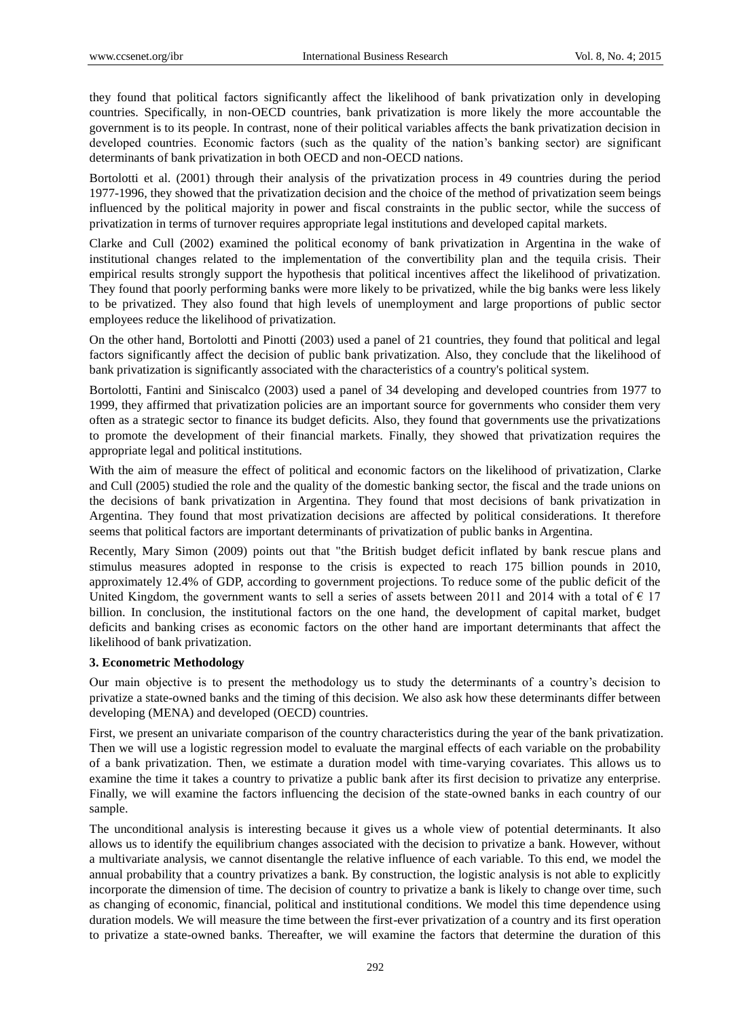they found that political factors significantly affect the likelihood of bank privatization only in developing countries. Specifically, in non-OECD countries, bank privatization is more likely the more accountable the government is to its people. In contrast, none of their political variables affects the bank privatization decision in developed countries. Economic factors (such as the quality of the nation's banking sector) are significant determinants of bank privatization in both OECD and non-OECD nations.

Bortolotti et al. (2001) through their analysis of the privatization process in 49 countries during the period 1977-1996, they showed that the privatization decision and the choice of the method of privatization seem beings influenced by the political majority in power and fiscal constraints in the public sector, while the success of privatization in terms of turnover requires appropriate legal institutions and developed capital markets.

Clarke and Cull (2002) examined the political economy of bank privatization in Argentina in the wake of institutional changes related to the implementation of the convertibility plan and the tequila crisis. Their empirical results strongly support the hypothesis that political incentives affect the likelihood of privatization. They found that poorly performing banks were more likely to be privatized, while the big banks were less likely to be privatized. They also found that high levels of unemployment and large proportions of public sector employees reduce the likelihood of privatization.

On the other hand, Bortolotti and Pinotti (2003) used a panel of 21 countries, they found that political and legal factors significantly affect the decision of public bank privatization. Also, they conclude that the likelihood of bank privatization is significantly associated with the characteristics of a country's political system.

Bortolotti, Fantini and Siniscalco (2003) used a panel of 34 developing and developed countries from 1977 to 1999, they affirmed that privatization policies are an important source for governments who consider them very often as a strategic sector to finance its budget deficits. Also, they found that governments use the privatizations to promote the development of their financial markets. Finally, they showed that privatization requires the appropriate legal and political institutions.

With the aim of measure the effect of political and economic factors on the likelihood of privatization, Clarke and Cull (2005) studied the role and the quality of the domestic banking sector, the fiscal and the trade unions on the decisions of bank privatization in Argentina. They found that most decisions of bank privatization in Argentina. They found that most privatization decisions are affected by political considerations. It therefore seems that political factors are important determinants of privatization of public banks in Argentina.

Recently, Mary Simon (2009) points out that "the British budget deficit inflated by bank rescue plans and stimulus measures adopted in response to the crisis is expected to reach 175 billion pounds in 2010, approximately 12.4% of GDP, according to government projections. To reduce some of the public deficit of the United Kingdom, the government wants to sell a series of assets between 2011 and 2014 with a total of  $\epsilon$  17 billion. In conclusion, the institutional factors on the one hand, the development of capital market, budget deficits and banking crises as economic factors on the other hand are important determinants that affect the likelihood of bank privatization.

## **3. Econometric Methodology**

Our main objective is to present the methodology us to study the determinants of a country"s decision to privatize a state-owned banks and the timing of this decision. We also ask how these determinants differ between developing (MENA) and developed (OECD) countries.

First, we present an univariate comparison of the country characteristics during the year of the bank privatization. Then we will use a logistic regression model to evaluate the marginal effects of each variable on the probability of a bank privatization. Then, we estimate a duration model with time-varying covariates. This allows us to examine the time it takes a country to privatize a public bank after its first decision to privatize any enterprise. Finally, we will examine the factors influencing the decision of the state-owned banks in each country of our sample.

The unconditional analysis is interesting because it gives us a whole view of potential determinants. It also allows us to identify the equilibrium changes associated with the decision to privatize a bank. However, without a multivariate analysis, we cannot disentangle the relative influence of each variable. To this end, we model the annual probability that a country privatizes a bank. By construction, the logistic analysis is not able to explicitly incorporate the dimension of time. The decision of country to privatize a bank is likely to change over time, such as changing of economic, financial, political and institutional conditions. We model this time dependence using duration models. We will measure the time between the first-ever privatization of a country and its first operation to privatize a state-owned banks. Thereafter, we will examine the factors that determine the duration of this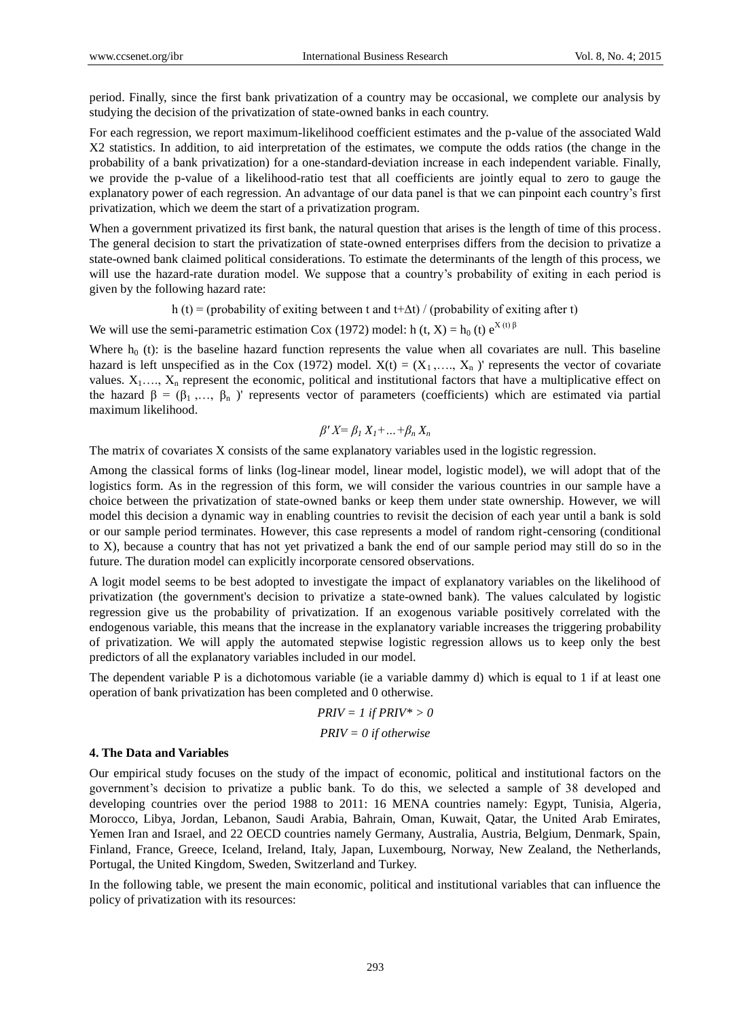period. Finally, since the first bank privatization of a country may be occasional, we complete our analysis by studying the decision of the privatization of state-owned banks in each country.

For each regression, we report maximum-likelihood coefficient estimates and the p-value of the associated Wald X2 statistics. In addition, to aid interpretation of the estimates, we compute the odds ratios (the change in the probability of a bank privatization) for a one-standard-deviation increase in each independent variable. Finally, we provide the p-value of a likelihood-ratio test that all coefficients are jointly equal to zero to gauge the explanatory power of each regression. An advantage of our data panel is that we can pinpoint each country"s first privatization, which we deem the start of a privatization program.

When a government privatized its first bank, the natural question that arises is the length of time of this process. The general decision to start the privatization of state-owned enterprises differs from the decision to privatize a state-owned bank claimed political considerations. To estimate the determinants of the length of this process, we will use the hazard-rate duration model. We suppose that a country's probability of exiting in each period is given by the following hazard rate:

h (t) = (probability of exiting between t and t+∆t) / (probability of exiting after t)

We will use the semi-parametric estimation Cox (1972) model: h (t, X) = h<sub>0</sub> (t)  $e^{X(t)\beta}$ 

Where  $h_0$  (t): is the baseline hazard function represents the value when all covariates are null. This baseline hazard is left unspecified as in the Cox (1972) model.  $X(t) = (X_1, \ldots, X_n)$  represents the vector of covariate values.  $X_1, \ldots, X_n$  represent the economic, political and institutional factors that have a multiplicative effect on the hazard  $\beta = (\beta_1, \dots, \beta_n)$ ' represents vector of parameters (coefficients) which are estimated via partial maximum likelihood.

$$
\beta' X = \beta_1 X_1 + \dots + \beta_n X_n
$$

The matrix of covariates X consists of the same explanatory variables used in the logistic regression.

Among the classical forms of links (log-linear model, linear model, logistic model), we will adopt that of the logistics form. As in the regression of this form, we will consider the various countries in our sample have a choice between the privatization of state-owned banks or keep them under state ownership. However, we will model this decision a dynamic way in enabling countries to revisit the decision of each year until a bank is sold or our sample period terminates. However, this case represents a model of random right-censoring (conditional to X), because a country that has not yet privatized a bank the end of our sample period may still do so in the future. The duration model can explicitly incorporate censored observations.

A logit model seems to be best adopted to investigate the impact of explanatory variables on the likelihood of privatization (the government's decision to privatize a state-owned bank). The values calculated by logistic regression give us the probability of privatization. If an exogenous variable positively correlated with the endogenous variable, this means that the increase in the explanatory variable increases the triggering probability of privatization. We will apply the automated stepwise logistic regression allows us to keep only the best predictors of all the explanatory variables included in our model.

The dependent variable P is a dichotomous variable (ie a variable dammy d) which is equal to 1 if at least one operation of bank privatization has been completed and 0 otherwise.

$$
PRIV = 1 \text{ if } PRIV^* > 0
$$

$$
PRIV = 0 \text{ if otherwise}
$$

#### **4. The Data and Variables**

Our empirical study focuses on the study of the impact of economic, political and institutional factors on the government"s decision to privatize a public bank. To do this, we selected a sample of 38 developed and developing countries over the period 1988 to 2011: 16 MENA countries namely: Egypt, Tunisia, Algeria, Morocco, Libya, Jordan, Lebanon, Saudi Arabia, Bahrain, Oman, Kuwait, Qatar, the United Arab Emirates, Yemen Iran and Israel, and 22 OECD countries namely Germany, Australia, Austria, Belgium, Denmark, Spain, Finland, France, Greece, Iceland, Ireland, Italy, Japan, Luxembourg, Norway, New Zealand, the Netherlands, Portugal, the United Kingdom, Sweden, Switzerland and Turkey.

In the following table, we present the main economic, political and institutional variables that can influence the policy of privatization with its resources: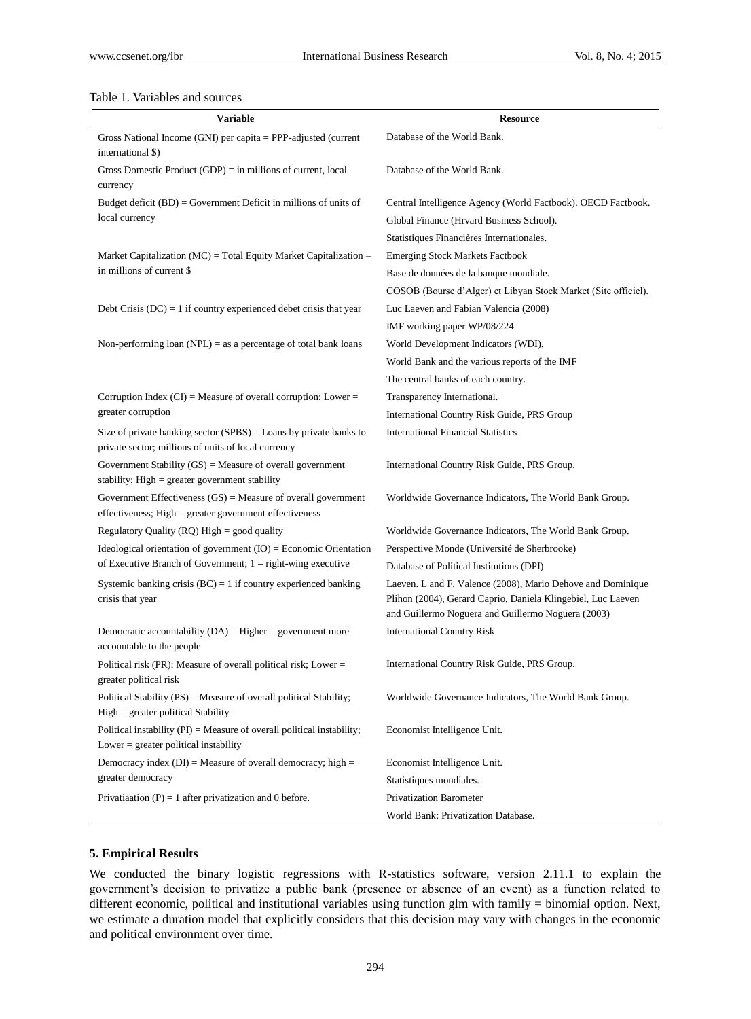## Table 1. Variables and sources

| Variable                                                                                                                   | <b>Resource</b>                                                                                                                                                                   |
|----------------------------------------------------------------------------------------------------------------------------|-----------------------------------------------------------------------------------------------------------------------------------------------------------------------------------|
| Gross National Income (GNI) per capita $=$ PPP-adjusted (current                                                           | Database of the World Bank.                                                                                                                                                       |
| international \$)                                                                                                          |                                                                                                                                                                                   |
| Gross Domestic Product $(GDP) = in$ millions of current, local<br>currency                                                 | Database of the World Bank.                                                                                                                                                       |
| Budget deficit $(BD)$ = Government Deficit in millions of units of                                                         | Central Intelligence Agency (World Factbook). OECD Factbook.                                                                                                                      |
| local currency                                                                                                             | Global Finance (Hrvard Business School).                                                                                                                                          |
|                                                                                                                            | Statistiques Financières Internationales.                                                                                                                                         |
| Market Capitalization (MC) = Total Equity Market Capitalization –                                                          | <b>Emerging Stock Markets Factbook</b>                                                                                                                                            |
| in millions of current \$                                                                                                  | Base de donn ées de la banque mondiale.                                                                                                                                           |
|                                                                                                                            | COSOB (Bourse d'Alger) et Libyan Stock Market (Site officiel).                                                                                                                    |
| Debt Crisis (DC) = 1 if country experienced debet crisis that year                                                         | Luc Laeven and Fabian Valencia (2008)                                                                                                                                             |
|                                                                                                                            | IMF working paper WP/08/224                                                                                                                                                       |
| Non-performing loan (NPL) = as a percentage of total bank loans                                                            | World Development Indicators (WDI).                                                                                                                                               |
|                                                                                                                            | World Bank and the various reports of the IMF                                                                                                                                     |
|                                                                                                                            | The central banks of each country.                                                                                                                                                |
| Corruption Index $(CI)$ = Measure of overall corruption; Lower =                                                           | Transparency International.                                                                                                                                                       |
| greater corruption                                                                                                         | International Country Risk Guide, PRS Group                                                                                                                                       |
| Size of private banking sector $(SPBS) =$ Loans by private banks to<br>private sector; millions of units of local currency | <b>International Financial Statistics</b>                                                                                                                                         |
| Government Stability $(GS)$ = Measure of overall government<br>stability; $High = greater government stability$            | International Country Risk Guide, PRS Group.                                                                                                                                      |
| Government Effectiveness $(GS)$ = Measure of overall government<br>effectiveness; High = greater government effectiveness  | Worldwide Governance Indicators, The World Bank Group.                                                                                                                            |
| Regulatory Quality (RQ) High = good quality                                                                                | Worldwide Governance Indicators, The World Bank Group.                                                                                                                            |
| Ideological orientation of government $(IO)$ = Economic Orientation                                                        | Perspective Monde (Université de Sherbrooke)                                                                                                                                      |
| of Executive Branch of Government; $1 =$ right-wing executive                                                              | Database of Political Institutions (DPI)                                                                                                                                          |
| Systemic banking crisis $(BC) = 1$ if country experienced banking<br>crisis that year                                      | Laeven. L and F. Valence (2008), Mario Dehove and Dominique<br>Plihon (2004), Gerard Caprio, Daniela Klingebiel, Luc Laeven<br>and Guillermo Noguera and Guillermo Noguera (2003) |
| Democratic accountability $(DA) = Higher = government$ more<br>accountable to the people                                   | <b>International Country Risk</b>                                                                                                                                                 |
| Political risk (PR): Measure of overall political risk; Lower =<br>greater political risk                                  | International Country Risk Guide, PRS Group.                                                                                                                                      |
| Political Stability (PS) = Measure of overall political Stability;<br>$High = greater political Stability$                 | Worldwide Governance Indicators, The World Bank Group.                                                                                                                            |
| Political instability $(PI)$ = Measure of overall political instability;<br>Lower $=$ greater political instability        | Economist Intelligence Unit.                                                                                                                                                      |
| Democracy index $(DI)$ = Measure of overall democracy; high =                                                              | Economist Intelligence Unit.                                                                                                                                                      |
| greater democracy                                                                                                          | Statistiques mondiales.                                                                                                                                                           |
| Privatiantion (P) = 1 after privatization and 0 before.                                                                    | <b>Privatization Barometer</b>                                                                                                                                                    |
|                                                                                                                            | World Bank: Privatization Database.                                                                                                                                               |

## **5. Empirical Results**

We conducted the binary logistic regressions with R-statistics software, version 2.11.1 to explain the government"s decision to privatize a public bank (presence or absence of an event) as a function related to different economic, political and institutional variables using function glm with family = binomial option. Next, we estimate a duration model that explicitly considers that this decision may vary with changes in the economic and political environment over time.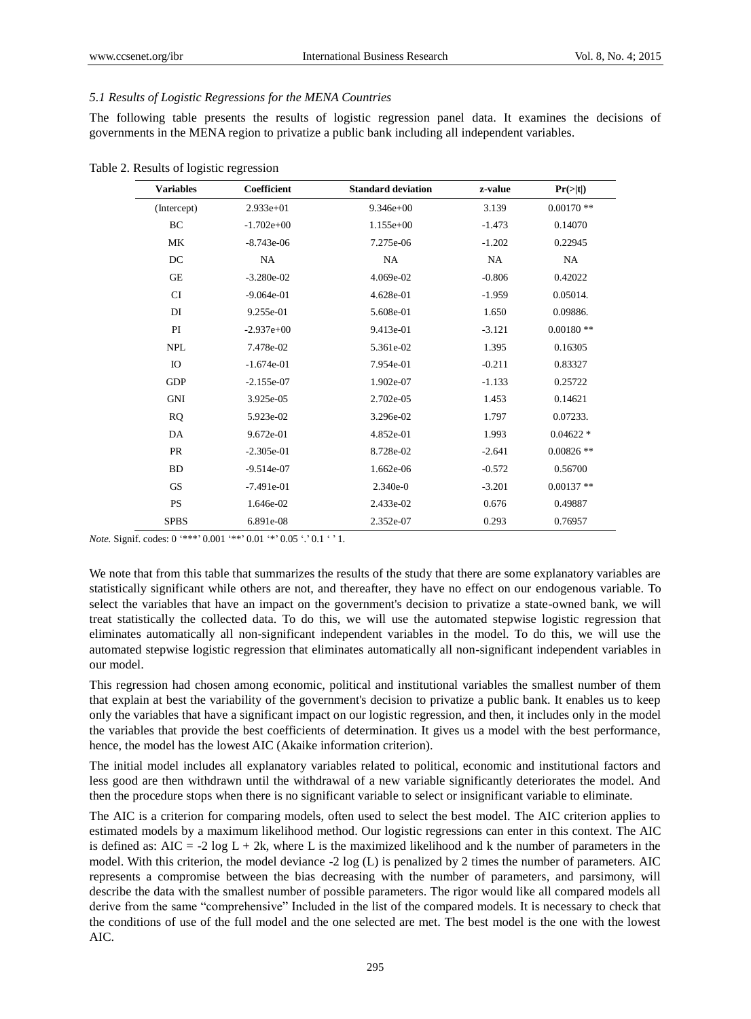## *5.1 Results of Logistic Regressions for the MENA Countries*

The following table presents the results of logistic regression panel data. It examines the decisions of governments in the MENA region to privatize a public bank including all independent variables.

| <b>Variables</b> | <b>Coefficient</b> | <b>Standard deviation</b> | z-value  | $Pr(>\mid t )$ |
|------------------|--------------------|---------------------------|----------|----------------|
| (Intercept)      | $2.933e+01$        | $9.346e + 00$             | 3.139    | $0.00170**$    |
| BC               | $-1.702e+00$       | 1.155e+00                 | $-1.473$ | 0.14070        |
| MK               | $-8.743e-06$       | 7.275e-06                 | $-1.202$ | 0.22945        |
| DC               | NA                 | NA                        | NA       | NA             |
| <b>GE</b>        | $-3.280e-02$       | 4.069e-02                 | $-0.806$ | 0.42022        |
| <b>CI</b>        | $-9.064e-01$       | 4.628e-01                 | $-1.959$ | 0.05014.       |
| DI               | 9.255e-01          | 5.608e-01                 | 1.650    | 0.09886.       |
| PI               | $-2.937e+00$       | 9.413e-01                 | $-3.121$ | $0.00180**$    |
| <b>NPL</b>       | 7.478e-02          | 5.361e-02                 | 1.395    | 0.16305        |
| IO               | $-1.674e-01$       | 7.954e-01                 | $-0.211$ | 0.83327        |
| <b>GDP</b>       | $-2.155e-07$       | 1.902e-07                 | $-1.133$ | 0.25722        |
| <b>GNI</b>       | 3.925e-05          | 2.702e-05                 | 1.453    | 0.14621        |
| <b>RQ</b>        | 5.923e-02          | 3.296e-02                 | 1.797    | 0.07233.       |
| DA               | 9.672e-01          | 4.852e-01                 | 1.993    | $0.04622 *$    |
| <b>PR</b>        | $-2.305e-01$       | 8.728e-02                 | $-2.641$ | $0.00826$ **   |
| <b>BD</b>        | $-9.514e-07$       | 1.662e-06                 | $-0.572$ | 0.56700        |
| <b>GS</b>        | $-7.491e-01$       | $2.340e-0$                | $-3.201$ | $0.00137**$    |
| <b>PS</b>        | 1.646e-02          | 2.433e-02                 | 0.676    | 0.49887        |
| <b>SPBS</b>      | 6.891e-08          | 2.352e-07                 | 0.293    | 0.76957        |

Table 2. Results of logistic regression

*Note.* Signif. codes:  $0$  '\*\*\*'  $0.001$  '\*\*'  $0.01$  '\*'  $0.05$  '.'  $0.1$  ' '1.

We note that from this table that summarizes the results of the study that there are some explanatory variables are statistically significant while others are not, and thereafter, they have no effect on our endogenous variable. To select the variables that have an impact on the government's decision to privatize a state-owned bank, we will treat statistically the collected data. To do this, we will use the automated stepwise logistic regression that eliminates automatically all non-significant independent variables in the model. To do this, we will use the automated stepwise logistic regression that eliminates automatically all non-significant independent variables in our model.

This regression had chosen among economic, political and institutional variables the smallest number of them that explain at best the variability of the government's decision to privatize a public bank. It enables us to keep only the variables that have a significant impact on our logistic regression, and then, it includes only in the model the variables that provide the best coefficients of determination. It gives us a model with the best performance, hence, the model has the lowest AIC (Akaike information criterion).

The initial model includes all explanatory variables related to political, economic and institutional factors and less good are then withdrawn until the withdrawal of a new variable significantly deteriorates the model. And then the procedure stops when there is no significant variable to select or insignificant variable to eliminate.

The AIC is a criterion for comparing models, often used to select the best model. The AIC criterion applies to estimated models by a maximum likelihood method. Our logistic regressions can enter in this context. The AIC is defined as:  $AIC = -2 \log L + 2k$ , where L is the maximized likelihood and k the number of parameters in the model. With this criterion, the model deviance -2 log (L) is penalized by 2 times the number of parameters. AIC represents a compromise between the bias decreasing with the number of parameters, and parsimony, will describe the data with the smallest number of possible parameters. The rigor would like all compared models all derive from the same "comprehensive" Included in the list of the compared models. It is necessary to check that the conditions of use of the full model and the one selected are met. The best model is the one with the lowest AIC.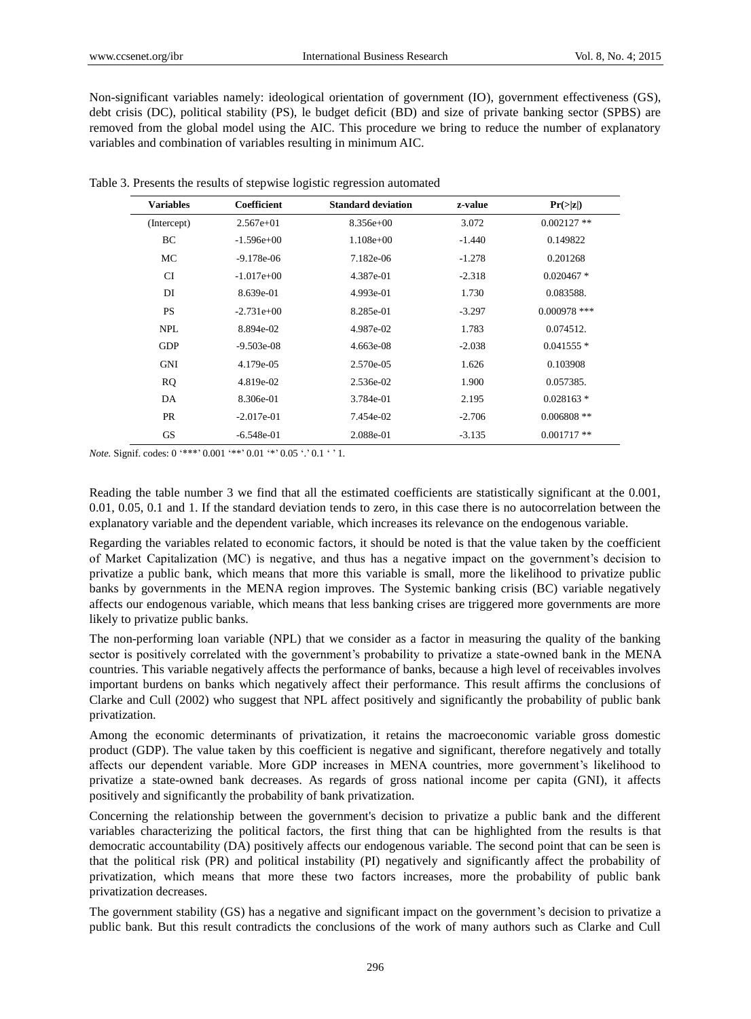Non-significant variables namely: ideological orientation of government (IO), government effectiveness (GS), debt crisis (DC), political stability (PS), le budget deficit (BD) and size of private banking sector (SPBS) are removed from the global model using the AIC. This procedure we bring to reduce the number of explanatory variables and combination of variables resulting in minimum AIC.

| <b>Variables</b> | Coefficient  | <b>Standard deviation</b> | z-value  | Pr(> z )       |
|------------------|--------------|---------------------------|----------|----------------|
| (Intercept)      | $2.567e+01$  | $8.356e+00$               | 3.072    | $0.002127$ **  |
| BC               | $-1.596e+00$ | $1.108e+00$               | $-1.440$ | 0.149822       |
| МC               | $-9.178e-06$ | 7.182e-06                 | $-1.278$ | 0.201268       |
| <b>CI</b>        | $-1.017e+00$ | 4.387e-01                 | $-2.318$ | $0.020467*$    |
| DI               | 8.639e-01    | 4.993e-01                 | 1.730    | 0.083588.      |
| <b>PS</b>        | $-2.731e+00$ | 8.285e-01                 | $-3.297$ | $0.000978$ *** |
| <b>NPL</b>       | 8.894e-02    | 4.987e-02                 | 1.783    | 0.074512.      |
| <b>GDP</b>       | $-9.503e-08$ | 4.663e-08                 | $-2.038$ | $0.041555$ *   |
| GNI              | 4.179e-05    | 2.570e-05                 | 1.626    | 0.103908       |
| <b>RQ</b>        | 4.819e-02    | 2.536e-02                 | 1.900    | 0.057385.      |
| DA               | 8.306e-01    | 3.784e-01                 | 2.195    | $0.028163*$    |
| <b>PR</b>        | $-2.017e-01$ | 7.454e-02                 | $-2.706$ | $0.006808$ **  |
| <b>GS</b>        | $-6.548e-01$ | 2.088e-01                 | $-3.135$ | $0.001717**$   |

Table 3. Presents the results of stepwise logistic regression automated

*Note.* Signif. codes: 0 '\*\*\*' 0.001 '\*\*' 0.01 '\*' 0.05 '.' 0.1 ' ' 1.

Reading the table number 3 we find that all the estimated coefficients are statistically significant at the 0.001, 0.01, 0.05, 0.1 and 1. If the standard deviation tends to zero, in this case there is no autocorrelation between the explanatory variable and the dependent variable, which increases its relevance on the endogenous variable.

Regarding the variables related to economic factors, it should be noted is that the value taken by the coefficient of Market Capitalization (MC) is negative, and thus has a negative impact on the government"s decision to privatize a public bank, which means that more this variable is small, more the likelihood to privatize public banks by governments in the MENA region improves. The Systemic banking crisis (BC) variable negatively affects our endogenous variable, which means that less banking crises are triggered more governments are more likely to privatize public banks.

The non-performing loan variable (NPL) that we consider as a factor in measuring the quality of the banking sector is positively correlated with the government"s probability to privatize a state-owned bank in the MENA countries. This variable negatively affects the performance of banks, because a high level of receivables involves important burdens on banks which negatively affect their performance. This result affirms the conclusions of Clarke and Cull (2002) who suggest that NPL affect positively and significantly the probability of public bank privatization.

Among the economic determinants of privatization, it retains the macroeconomic variable gross domestic product (GDP). The value taken by this coefficient is negative and significant, therefore negatively and totally affects our dependent variable. More GDP increases in MENA countries, more government's likelihood to privatize a state-owned bank decreases. As regards of gross national income per capita (GNI), it affects positively and significantly the probability of bank privatization.

Concerning the relationship between the government's decision to privatize a public bank and the different variables characterizing the political factors, the first thing that can be highlighted from the results is that democratic accountability (DA) positively affects our endogenous variable. The second point that can be seen is that the political risk (PR) and political instability (PI) negatively and significantly affect the probability of privatization, which means that more these two factors increases, more the probability of public bank privatization decreases.

The government stability (GS) has a negative and significant impact on the government"s decision to privatize a public bank. But this result contradicts the conclusions of the work of many authors such as Clarke and Cull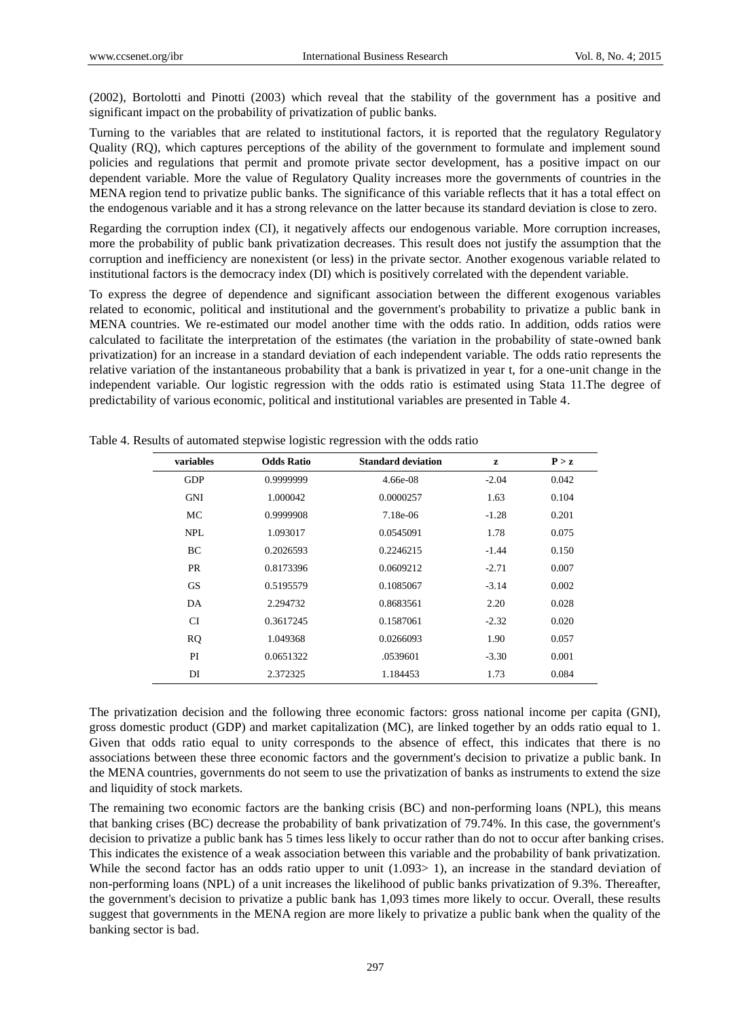(2002), Bortolotti and Pinotti (2003) which reveal that the stability of the government has a positive and significant impact on the probability of privatization of public banks.

Turning to the variables that are related to institutional factors, it is reported that the regulatory Regulatory Quality (RQ), which captures perceptions of the ability of the government to formulate and implement sound policies and regulations that permit and promote private sector development, has a positive impact on our dependent variable. More the value of Regulatory Quality increases more the governments of countries in the MENA region tend to privatize public banks. The significance of this variable reflects that it has a total effect on the endogenous variable and it has a strong relevance on the latter because its standard deviation is close to zero.

Regarding the corruption index (CI), it negatively affects our endogenous variable. More corruption increases, more the probability of public bank privatization decreases. This result does not justify the assumption that the corruption and inefficiency are nonexistent (or less) in the private sector. Another exogenous variable related to institutional factors is the democracy index (DI) which is positively correlated with the dependent variable.

To express the degree of dependence and significant association between the different exogenous variables related to economic, political and institutional and the government's probability to privatize a public bank in MENA countries. We re-estimated our model another time with the odds ratio. In addition, odds ratios were calculated to facilitate the interpretation of the estimates (the variation in the probability of state-owned bank privatization) for an increase in a standard deviation of each independent variable. The odds ratio represents the relative variation of the instantaneous probability that a bank is privatized in year t, for a one-unit change in the independent variable. Our logistic regression with the odds ratio is estimated using Stata 11.The degree of predictability of various economic, political and institutional variables are presented in Table 4.

| variables  | <b>Odds Ratio</b> | <b>Standard deviation</b> | z       | P > z |
|------------|-------------------|---------------------------|---------|-------|
| <b>GDP</b> | 0.9999999         | 4.66e-08                  | $-2.04$ | 0.042 |
| <b>GNI</b> | 1.000042          | 0.0000257                 | 1.63    | 0.104 |
| MC         | 0.9999908         | 7.18e-06                  | $-1.28$ | 0.201 |
| <b>NPL</b> | 1.093017          | 0.0545091                 | 1.78    | 0.075 |
| BC         | 0.2026593         | 0.2246215                 | $-1.44$ | 0.150 |
| <b>PR</b>  | 0.8173396         | 0.0609212                 | $-2.71$ | 0.007 |
| <b>GS</b>  | 0.5195579         | 0.1085067                 | $-3.14$ | 0.002 |
| DA         | 2.294732          | 0.8683561                 | 2.20    | 0.028 |
| <b>CI</b>  | 0.3617245         | 0.1587061                 | $-2.32$ | 0.020 |
| <b>RQ</b>  | 1.049368          | 0.0266093                 | 1.90    | 0.057 |
| PI         | 0.0651322         | .0539601                  | $-3.30$ | 0.001 |
| DI         | 2.372325          | 1.184453                  | 1.73    | 0.084 |

Table 4. Results of automated stepwise logistic regression with the odds ratio

The privatization decision and the following three economic factors: gross national income per capita (GNI), gross domestic product (GDP) and market capitalization (MC), are linked together by an odds ratio equal to 1. Given that odds ratio equal to unity corresponds to the absence of effect, this indicates that there is no associations between these three economic factors and the government's decision to privatize a public bank. In the MENA countries, governments do not seem to use the privatization of banks as instruments to extend the size and liquidity of stock markets.

The remaining two economic factors are the banking crisis (BC) and non-performing loans (NPL), this means that banking crises (BC) decrease the probability of bank privatization of 79.74%. In this case, the government's decision to privatize a public bank has 5 times less likely to occur rather than do not to occur after banking crises. This indicates the existence of a weak association between this variable and the probability of bank privatization. While the second factor has an odds ratio upper to unit (1.093> 1), an increase in the standard deviation of non-performing loans (NPL) of a unit increases the likelihood of public banks privatization of 9.3%. Thereafter, the government's decision to privatize a public bank has 1,093 times more likely to occur. Overall, these results suggest that governments in the MENA region are more likely to privatize a public bank when the quality of the banking sector is bad.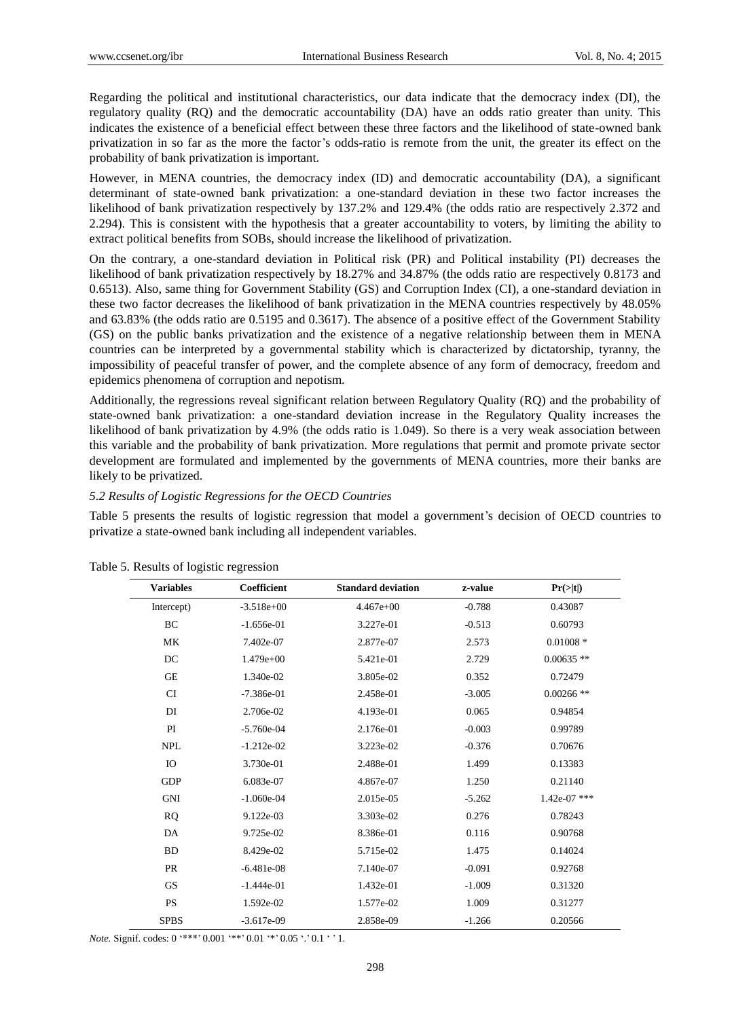Regarding the political and institutional characteristics, our data indicate that the democracy index (DI), the regulatory quality (RQ) and the democratic accountability (DA) have an odds ratio greater than unity. This indicates the existence of a beneficial effect between these three factors and the likelihood of state-owned bank privatization in so far as the more the factor"s odds-ratio is remote from the unit, the greater its effect on the probability of bank privatization is important.

However, in MENA countries, the democracy index (ID) and democratic accountability (DA), a significant determinant of state-owned bank privatization: a one-standard deviation in these two factor increases the likelihood of bank privatization respectively by 137.2% and 129.4% (the odds ratio are respectively 2.372 and 2.294). This is consistent with the hypothesis that a greater accountability to voters, by limiting the ability to extract political benefits from SOBs, should increase the likelihood of privatization.

On the contrary, a one-standard deviation in Political risk (PR) and Political instability (PI) decreases the likelihood of bank privatization respectively by 18.27% and 34.87% (the odds ratio are respectively 0.8173 and 0.6513). Also, same thing for Government Stability (GS) and Corruption Index (CI), a one-standard deviation in these two factor decreases the likelihood of bank privatization in the MENA countries respectively by 48.05% and 63.83% (the odds ratio are 0.5195 and 0.3617). The absence of a positive effect of the Government Stability (GS) on the public banks privatization and the existence of a negative relationship between them in MENA countries can be interpreted by a governmental stability which is characterized by dictatorship, tyranny, the impossibility of peaceful transfer of power, and the complete absence of any form of democracy, freedom and epidemics phenomena of corruption and nepotism.

Additionally, the regressions reveal significant relation between Regulatory Quality (RQ) and the probability of state-owned bank privatization: a one-standard deviation increase in the Regulatory Quality increases the likelihood of bank privatization by 4.9% (the odds ratio is 1.049). So there is a very weak association between this variable and the probability of bank privatization. More regulations that permit and promote private sector development are formulated and implemented by the governments of MENA countries, more their banks are likely to be privatized.

#### *5.2 Results of Logistic Regressions for the OECD Countries*

Table 5 presents the results of logistic regression that model a government's decision of OECD countries to privatize a state-owned bank including all independent variables.

| <b>Variables</b> | <b>Coefficient</b> | <b>Standard deviation</b> | z-value  | Pr(> t )       |
|------------------|--------------------|---------------------------|----------|----------------|
| Intercept)       | $-3.518e+00$       | $4.467e+00$               | $-0.788$ | 0.43087        |
| BC               | $-1.656e-01$       | 3.227e-01                 | $-0.513$ | 0.60793        |
| <b>MK</b>        | 7.402e-07          | 2.877e-07                 | 2.573    | $0.01008 *$    |
| DC               | $1.479e+00$        | 5.421e-01                 | 2.729    | $0.00635$ **   |
| <b>GE</b>        | 1.340e-02          | 3.805e-02                 | 0.352    | 0.72479        |
| <b>CI</b>        | $-7.386e-01$       | 2.458e-01                 | $-3.005$ | $0.00266$ **   |
| DI               | 2.706e-02          | 4.193e-01                 | 0.065    | 0.94854        |
| PI               | $-5.760e-04$       | 2.176e-01                 | $-0.003$ | 0.99789        |
| <b>NPL</b>       | $-1.212e-02$       | 3.223e-02                 | $-0.376$ | 0.70676        |
| IO               | 3.730e-01          | 2.488e-01                 | 1.499    | 0.13383        |
| <b>GDP</b>       | 6.083e-07          | 4.867e-07                 | 1.250    | 0.21140        |
| <b>GNI</b>       | $-1.060e-04$       | 2.015e-05                 | $-5.262$ | $1.42e-07$ *** |
| <b>RQ</b>        | 9.122e-03          | 3.303e-02                 | 0.276    | 0.78243        |
| DA               | 9.725e-02          | 8.386e-01                 | 0.116    | 0.90768        |
| <b>BD</b>        | 8.429e-02          | 5.715e-02                 | 1.475    | 0.14024        |
| <b>PR</b>        | $-6.481e-08$       | 7.140e-07                 | $-0.091$ | 0.92768        |
| <b>GS</b>        | $-1.444e-01$       | 1.432e-01                 | $-1.009$ | 0.31320        |
| <b>PS</b>        | 1.592e-02          | 1.577e-02                 | 1.009    | 0.31277        |
| <b>SPBS</b>      | $-3.617e-09$       | 2.858e-09                 | $-1.266$ | 0.20566        |

#### Table 5. Results of logistic regression

*Note.* Signif. codes:  $0$  '\*\*\*'  $0.001$  '\*\*'  $0.01$  '\*'  $0.05$  '.'  $0.1$  ' '1.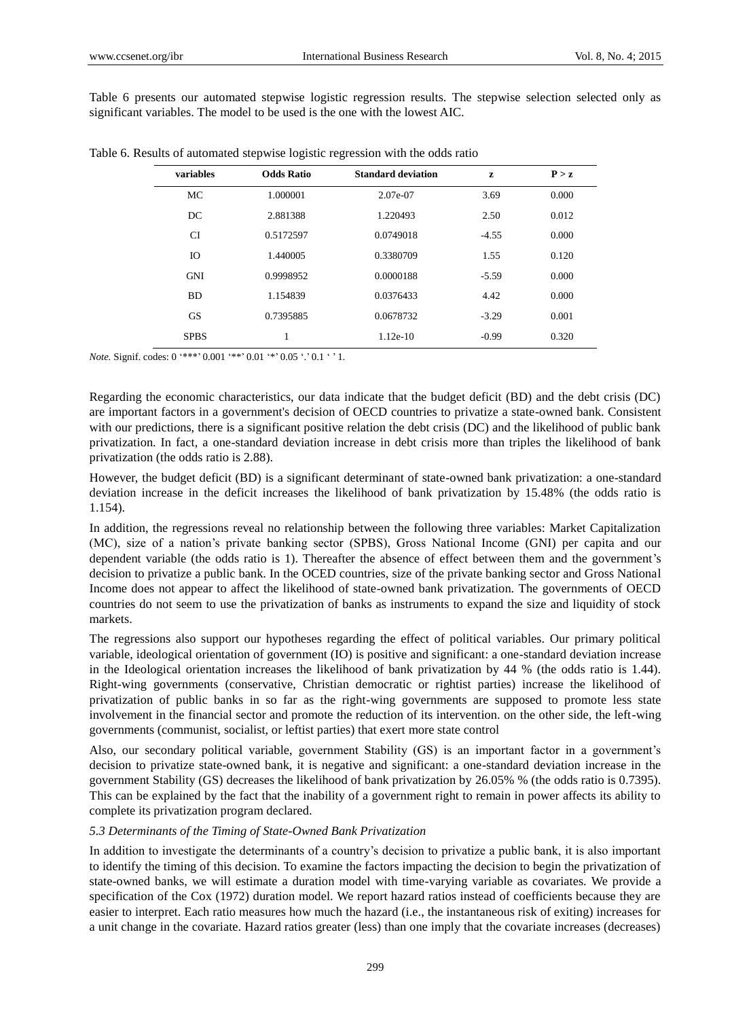Table 6 presents our automated stepwise logistic regression results. The stepwise selection selected only as significant variables. The model to be used is the one with the lowest AIC.

| variables   | <b>Odds Ratio</b> | <b>Standard deviation</b> | z       | P > z |
|-------------|-------------------|---------------------------|---------|-------|
| MC          | 1.000001          | 2.07e-07                  | 3.69    | 0.000 |
| DC          | 2.881388          | 1.220493                  | 2.50    | 0.012 |
| CI          | 0.5172597         | 0.0749018                 | $-4.55$ | 0.000 |
| IO          | 1.440005          | 0.3380709                 | 1.55    | 0.120 |
| <b>GNI</b>  | 0.9998952         | 0.0000188                 | $-5.59$ | 0.000 |
| <b>BD</b>   | 1.154839          | 0.0376433                 | 4.42    | 0.000 |
| <b>GS</b>   | 0.7395885         | 0.0678732                 | $-3.29$ | 0.001 |
| <b>SPBS</b> | 1                 | $1.12e-10$                | $-0.99$ | 0.320 |

Table 6. Results of automated stepwise logistic regression with the odds ratio

*Note.* Signif. codes: 0 '\*\*\*' 0.001 '\*\*' 0.01 '\*' 0.05 '.' 0.1 ' ' 1.

Regarding the economic characteristics, our data indicate that the budget deficit (BD) and the debt crisis (DC) are important factors in a government's decision of OECD countries to privatize a state-owned bank. Consistent with our predictions, there is a significant positive relation the debt crisis (DC) and the likelihood of public bank privatization. In fact, a one-standard deviation increase in debt crisis more than triples the likelihood of bank privatization (the odds ratio is 2.88).

However, the budget deficit (BD) is a significant determinant of state-owned bank privatization: a one-standard deviation increase in the deficit increases the likelihood of bank privatization by 15.48% (the odds ratio is 1.154).

In addition, the regressions reveal no relationship between the following three variables: Market Capitalization (MC), size of a nation"s private banking sector (SPBS), Gross National Income (GNI) per capita and our dependent variable (the odds ratio is 1). Thereafter the absence of effect between them and the government's decision to privatize a public bank. In the OCED countries, size of the private banking sector and Gross National Income does not appear to affect the likelihood of state-owned bank privatization. The governments of OECD countries do not seem to use the privatization of banks as instruments to expand the size and liquidity of stock markets.

The regressions also support our hypotheses regarding the effect of political variables. Our primary political variable, ideological orientation of government (IO) is positive and significant: a one-standard deviation increase in the Ideological orientation increases the likelihood of bank privatization by 44 % (the odds ratio is 1.44). Right-wing governments (conservative, Christian democratic or rightist parties) increase the likelihood of privatization of public banks in so far as the right-wing governments are supposed to promote less state involvement in the financial sector and promote the reduction of its intervention. on the other side, the left-wing governments (communist, socialist, or leftist parties) that exert more state control

Also, our secondary political variable, government Stability (GS) is an important factor in a government"s decision to privatize state-owned bank, it is negative and significant: a one-standard deviation increase in the government Stability (GS) decreases the likelihood of bank privatization by 26.05% % (the odds ratio is 0.7395). This can be explained by the fact that the inability of a government right to remain in power affects its ability to complete its privatization program declared.

## *5.3 Determinants of the Timing of State-Owned Bank Privatization*

In addition to investigate the determinants of a country's decision to privatize a public bank, it is also important to identify the timing of this decision. To examine the factors impacting the decision to begin the privatization of state-owned banks, we will estimate a duration model with time-varying variable as covariates. We provide a specification of the Cox (1972) duration model. We report hazard ratios instead of coefficients because they are easier to interpret. Each ratio measures how much the hazard (i.e., the instantaneous risk of exiting) increases for a unit change in the covariate. Hazard ratios greater (less) than one imply that the covariate increases (decreases)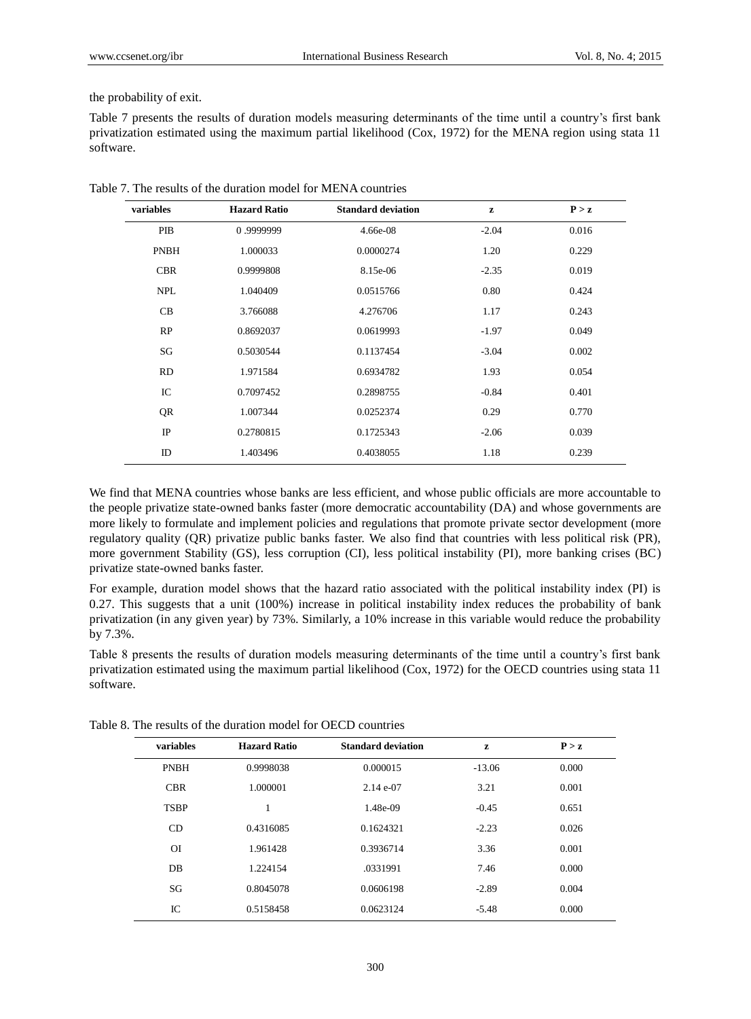#### the probability of exit.

Table 7 presents the results of duration models measuring determinants of the time until a country"s first bank privatization estimated using the maximum partial likelihood (Cox, 1972) for the MENA region using stata 11 software.

| variables   | <b>Hazard Ratio</b> | <b>Standard deviation</b> | z       | P > z |
|-------------|---------------------|---------------------------|---------|-------|
| PIB         | 0.9999999           | 4.66e-08                  | $-2.04$ | 0.016 |
| <b>PNBH</b> | 1.000033            | 0.0000274                 | 1.20    | 0.229 |
| <b>CBR</b>  | 0.9999808           | 8.15e-06                  | $-2.35$ | 0.019 |
| <b>NPL</b>  | 1.040409            | 0.0515766                 | 0.80    | 0.424 |
| CB          | 3.766088            | 4.276706                  | 1.17    | 0.243 |
| RP          | 0.8692037           | 0.0619993                 | $-1.97$ | 0.049 |
| SG          | 0.5030544           | 0.1137454                 | $-3.04$ | 0.002 |
| <b>RD</b>   | 1.971584            | 0.6934782                 | 1.93    | 0.054 |
| IC          | 0.7097452           | 0.2898755                 | $-0.84$ | 0.401 |
| QR          | 1.007344            | 0.0252374                 | 0.29    | 0.770 |
| IP          | 0.2780815           | 0.1725343                 | $-2.06$ | 0.039 |
| ID          | 1.403496            | 0.4038055                 | 1.18    | 0.239 |

Table 7. The results of the duration model for MENA countries

We find that MENA countries whose banks are less efficient, and whose public officials are more accountable to the people privatize state-owned banks faster (more democratic accountability (DA) and whose governments are more likely to formulate and implement policies and regulations that promote private sector development (more regulatory quality (QR) privatize public banks faster. We also find that countries with less political risk (PR), more government Stability (GS), less corruption (CI), less political instability (PI), more banking crises (BC) privatize state-owned banks faster.

For example, duration model shows that the hazard ratio associated with the political instability index (PI) is 0.27. This suggests that a unit (100%) increase in political instability index reduces the probability of bank privatization (in any given year) by 73%. Similarly, a 10% increase in this variable would reduce the probability by 7.3%.

Table 8 presents the results of duration models measuring determinants of the time until a country"s first bank privatization estimated using the maximum partial likelihood (Cox, 1972) for the OECD countries using stata 11 software.

| variables   | <b>Hazard Ratio</b> | <b>Standard deviation</b> | z        | P > z |  |
|-------------|---------------------|---------------------------|----------|-------|--|
| <b>PNBH</b> | 0.9998038           | 0.000015                  | $-13.06$ | 0.000 |  |
| <b>CBR</b>  | 1.000001            | $2.14e-07$                | 3.21     | 0.001 |  |
| <b>TSBP</b> | 1                   | 1.48e-09                  | $-0.45$  | 0.651 |  |
| CD          | 0.4316085           | 0.1624321                 | $-2.23$  | 0.026 |  |
| ΟI          | 1.961428            | 0.3936714                 | 3.36     | 0.001 |  |
| DB          | 1.224154            | .0331991                  | 7.46     | 0.000 |  |
| SG          | 0.8045078           | 0.0606198                 | $-2.89$  | 0.004 |  |
| IC          | 0.5158458           | 0.0623124                 | $-5.48$  | 0.000 |  |

Table 8. The results of the duration model for OECD countries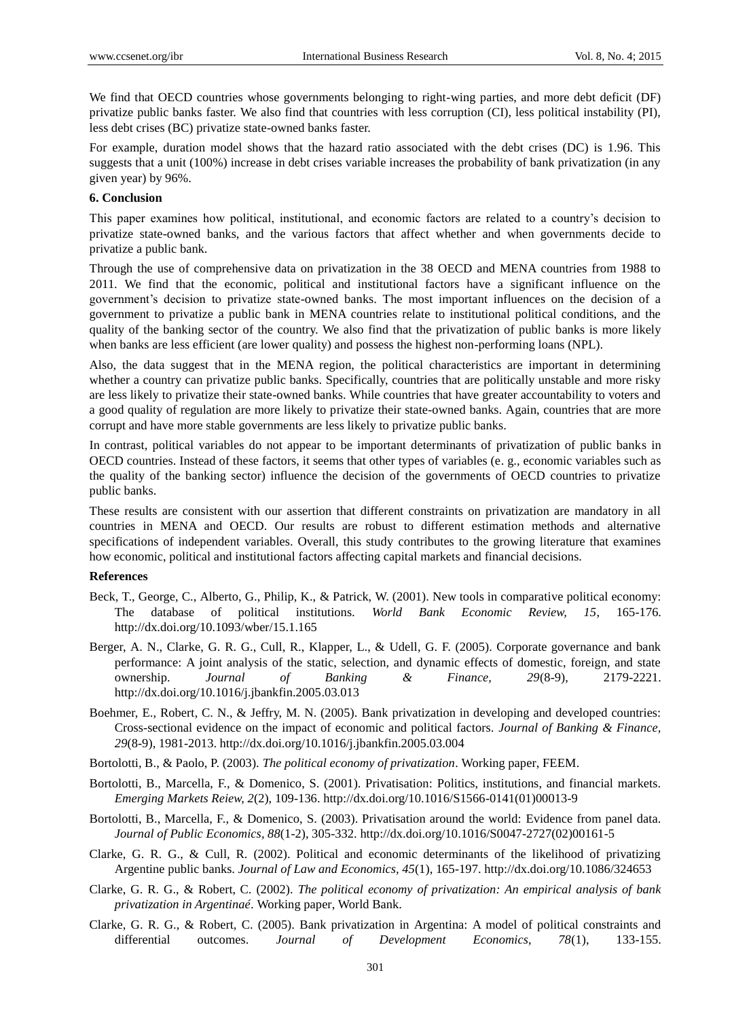We find that OECD countries whose governments belonging to right-wing parties, and more debt deficit (DF) privatize public banks faster. We also find that countries with less corruption (CI), less political instability (PI), less debt crises (BC) privatize state-owned banks faster.

For example, duration model shows that the hazard ratio associated with the debt crises (DC) is 1.96. This suggests that a unit (100%) increase in debt crises variable increases the probability of bank privatization (in any given year) by 96%.

## **6. Conclusion**

This paper examines how political, institutional, and economic factors are related to a country"s decision to privatize state-owned banks, and the various factors that affect whether and when governments decide to privatize a public bank.

Through the use of comprehensive data on privatization in the 38 OECD and MENA countries from 1988 to 2011. We find that the economic, political and institutional factors have a significant influence on the government"s decision to privatize state-owned banks. The most important influences on the decision of a government to privatize a public bank in MENA countries relate to institutional political conditions, and the quality of the banking sector of the country. We also find that the privatization of public banks is more likely when banks are less efficient (are lower quality) and possess the highest non-performing loans (NPL).

Also, the data suggest that in the MENA region, the political characteristics are important in determining whether a country can privatize public banks. Specifically, countries that are politically unstable and more risky are less likely to privatize their state-owned banks. While countries that have greater accountability to voters and a good quality of regulation are more likely to privatize their state-owned banks. Again, countries that are more corrupt and have more stable governments are less likely to privatize public banks.

In contrast, political variables do not appear to be important determinants of privatization of public banks in OECD countries. Instead of these factors, it seems that other types of variables (e. g., economic variables such as the quality of the banking sector) influence the decision of the governments of OECD countries to privatize public banks.

These results are consistent with our assertion that different constraints on privatization are mandatory in all countries in MENA and OECD. Our results are robust to different estimation methods and alternative specifications of independent variables. Overall, this study contributes to the growing literature that examines how economic, political and institutional factors affecting capital markets and financial decisions.

#### **References**

- Beck, T., George, C., Alberto, G., Philip, K., & Patrick, W. (2001). New tools in comparative political economy: The database of political institutions. *World Bank Economic Review, 15*, 165-176. http://dx.doi.org/10.1093/wber/15.1.165
- Berger, A. N., Clarke, G. R. G., Cull, R., Klapper, L., & Udell, G. F. (2005). Corporate governance and bank performance: A joint analysis of the static, selection, and dynamic effects of domestic, foreign, and state ownership. *Journal of Banking & Finance, 29*(8-9), 2179-2221. http://dx.doi.org/10.1016/j.jbankfin.2005.03.013
- Boehmer, E., Robert, C. N., & Jeffry, M. N. (2005). Bank privatization in developing and developed countries: Cross-sectional evidence on the impact of economic and political factors. *Journal of Banking & Finance, 29*(8-9), 1981-2013. http://dx.doi.org/10.1016/j.jbankfin.2005.03.004
- Bortolotti, B., & Paolo, P. (2003). *The political economy of privatization*. Working paper, FEEM.
- Bortolotti, B., Marcella, F., & Domenico, S. (2001). Privatisation: Politics, institutions, and financial markets. *Emerging Markets Reiew, 2*(2), 109-136. http://dx.doi.org/10.1016/S1566-0141(01)00013-9
- Bortolotti, B., Marcella, F., & Domenico, S. (2003). Privatisation around the world: Evidence from panel data. *Journal of Public Economics*, *88*(1-2), 305-332. http://dx.doi.org/10.1016/S0047-2727(02)00161-5
- Clarke, G. R. G., & Cull, R. (2002). Political and economic determinants of the likelihood of privatizing Argentine public banks. *Journal of Law and Economics, 45*(1), 165-197. http://dx.doi.org/10.1086/324653
- Clarke, G. R. G., & Robert, C. (2002). *The political economy of privatization: An empirical analysis of bank privatization in Argentinaé*. Working paper, World Bank.
- Clarke, G. R. G., & Robert, C. (2005). Bank privatization in Argentina: A model of political constraints and differential outcomes. *Journal of Development Economics, 78*(1), 133-155.